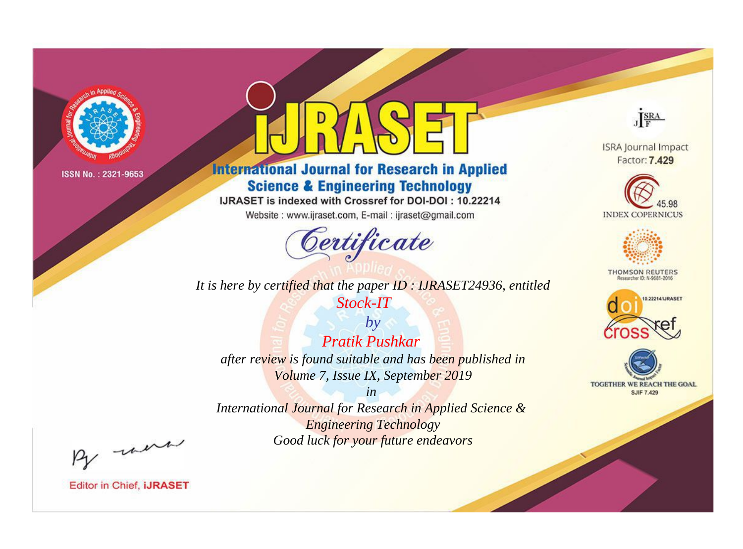

# **International Journal for Research in Applied Science & Engineering Technology**

IJRASET is indexed with Crossref for DOI-DOI: 10.22214

Website: www.ijraset.com, E-mail: ijraset@gmail.com



JERA

**ISRA Journal Impact** Factor: 7.429





**THOMSON REUTERS** 



TOGETHER WE REACH THE GOAL **SJIF 7.429** 

It is here by certified that the paper ID: IJRASET24936, entitled Stock-IT

**Pratik Pushkar** after review is found suitable and has been published in Volume 7, Issue IX, September 2019

 $by$ 

 $in$ International Journal for Research in Applied Science & **Engineering Technology** Good luck for your future endeavors

By morn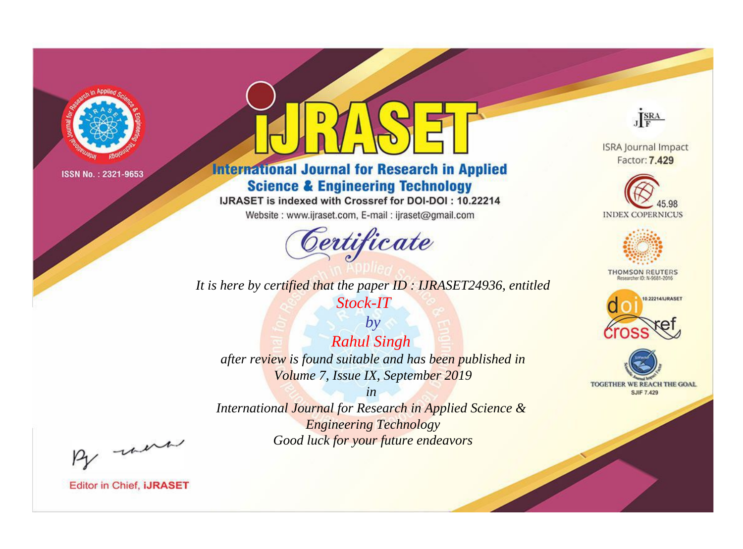

# **International Journal for Research in Applied Science & Engineering Technology**

IJRASET is indexed with Crossref for DOI-DOI: 10.22214

Website: www.ijraset.com, E-mail: ijraset@gmail.com



JERA

**ISRA Journal Impact** Factor: 7.429





**THOMSON REUTERS** 



TOGETHER WE REACH THE GOAL **SJIF 7.429** 

It is here by certified that the paper ID: IJRASET24936, entitled Stock-IT

 $by$ **Rahul Singh** after review is found suitable and has been published in Volume 7, Issue IX, September 2019

 $in$ International Journal for Research in Applied Science & **Engineering Technology** Good luck for your future endeavors

By morn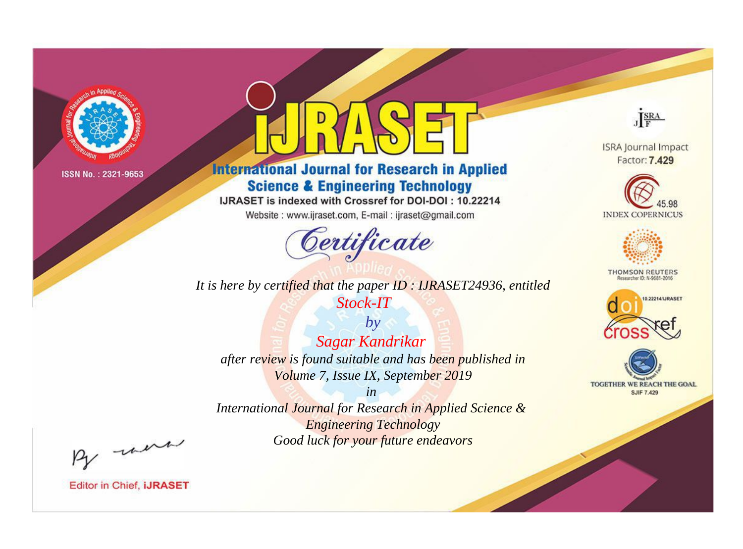

# **International Journal for Research in Applied Science & Engineering Technology**

IJRASET is indexed with Crossref for DOI-DOI: 10.22214

Website: www.ijraset.com, E-mail: ijraset@gmail.com



JERA

**ISRA Journal Impact** Factor: 7.429





**THOMSON REUTERS** 



TOGETHER WE REACH THE GOAL **SJIF 7.429** 

It is here by certified that the paper ID: IJRASET24936, entitled Stock-IT

 $by$ **Sagar Kandrikar** after review is found suitable and has been published in Volume 7, Issue IX, September 2019

 $in$ International Journal for Research in Applied Science & **Engineering Technology** Good luck for your future endeavors

By morn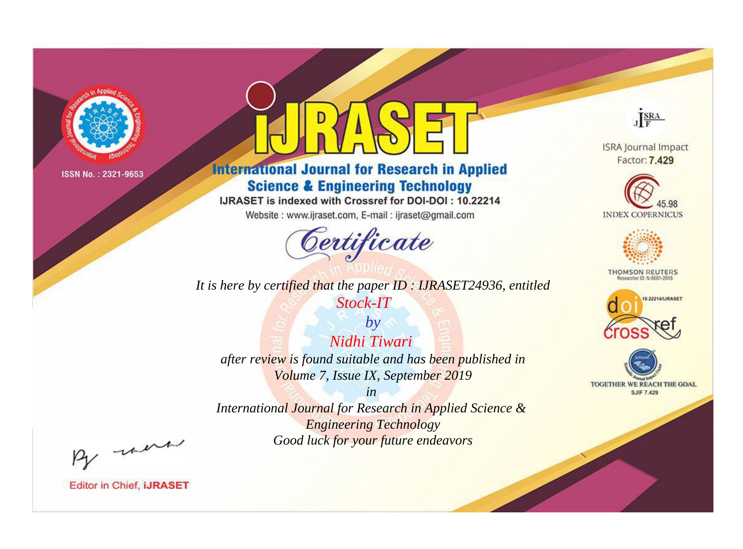

# **International Journal for Research in Applied Science & Engineering Technology**

IJRASET is indexed with Crossref for DOI-DOI: 10.22214

Website: www.ijraset.com, E-mail: ijraset@gmail.com



JERA

**ISRA Journal Impact** Factor: 7.429





**THOMSON REUTERS** 



TOGETHER WE REACH THE GOAL **SJIF 7.429** 

It is here by certified that the paper ID: IJRASET24936, entitled Stock-IT

Nidhi Tiwari after review is found suitable and has been published in Volume 7, Issue IX, September 2019

 $by$ 

 $in$ International Journal for Research in Applied Science & **Engineering Technology** Good luck for your future endeavors

By morn